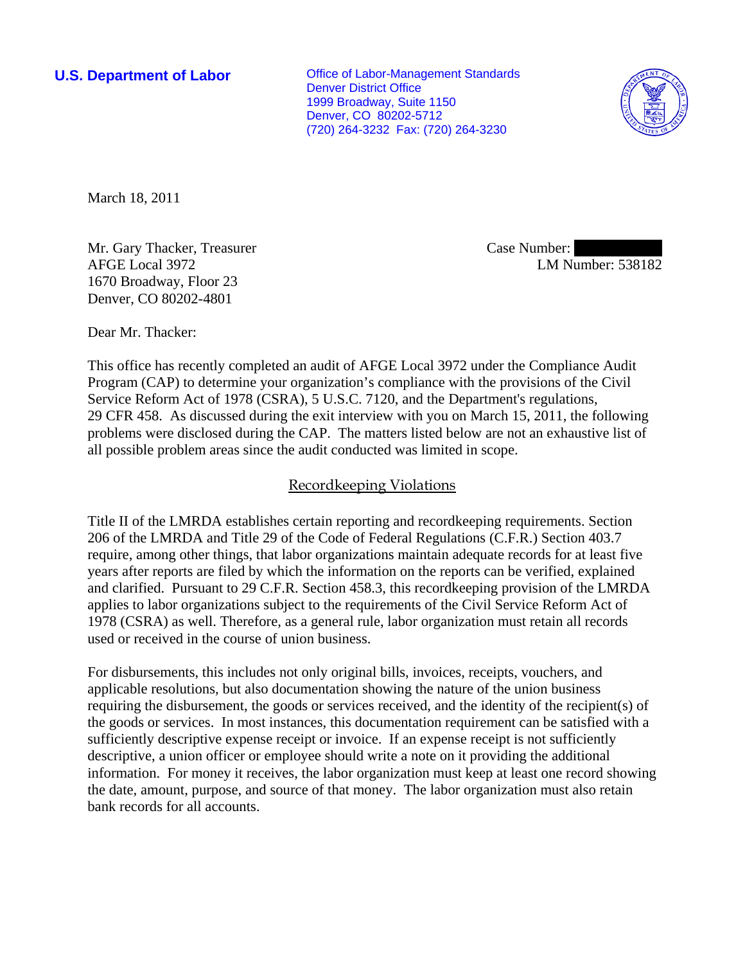**U.S. Department of Labor Conservative Conservative Conservative Conservative Conservative Conservative Conservative Conservative Conservative Conservative Conservative Conservative Conservative Conservative Conservative** Denver District Office 1999 Broadway, Suite 1150 Denver, CO 80202-5712 (720) 264-3232 Fax: (720) 264-3230



March 18, 2011

Mr. Gary Thacker, Treasurer AFGE Local 3972 1670 Broadway, Floor 23 Denver, CO 80202-4801

Case Number: LM Number: 538182

Dear Mr. Thacker:

This office has recently completed an audit of AFGE Local 3972 under the Compliance Audit Program (CAP) to determine your organization's compliance with the provisions of the Civil Service Reform Act of 1978 (CSRA), 5 U.S.C. 7120, and the Department's regulations, 29 CFR 458. As discussed during the exit interview with you on March 15, 2011, the following problems were disclosed during the CAP. The matters listed below are not an exhaustive list of all possible problem areas since the audit conducted was limited in scope.

## Recordkeeping Violations

Title II of the LMRDA establishes certain reporting and recordkeeping requirements. Section 206 of the LMRDA and Title 29 of the Code of Federal Regulations (C.F.R.) Section 403.7 require, among other things, that labor organizations maintain adequate records for at least five years after reports are filed by which the information on the reports can be verified, explained and clarified. Pursuant to 29 C.F.R. Section 458.3, this recordkeeping provision of the LMRDA applies to labor organizations subject to the requirements of the Civil Service Reform Act of 1978 (CSRA) as well. Therefore, as a general rule, labor organization must retain all records used or received in the course of union business.

For disbursements, this includes not only original bills, invoices, receipts, vouchers, and applicable resolutions, but also documentation showing the nature of the union business requiring the disbursement, the goods or services received, and the identity of the recipient(s) of the goods or services. In most instances, this documentation requirement can be satisfied with a sufficiently descriptive expense receipt or invoice. If an expense receipt is not sufficiently descriptive, a union officer or employee should write a note on it providing the additional information. For money it receives, the labor organization must keep at least one record showing the date, amount, purpose, and source of that money. The labor organization must also retain bank records for all accounts.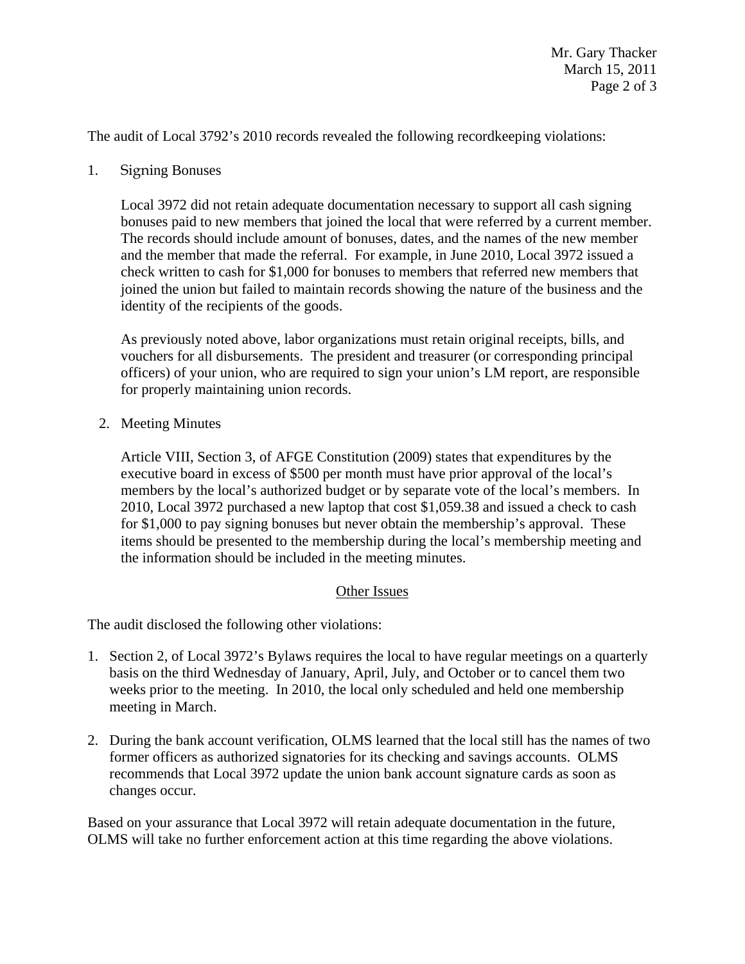The audit of Local 3792's 2010 records revealed the following recordkeeping violations:

1. Signing Bonuses

Local 3972 did not retain adequate documentation necessary to support all cash signing bonuses paid to new members that joined the local that were referred by a current member. The records should include amount of bonuses, dates, and the names of the new member and the member that made the referral. For example, in June 2010, Local 3972 issued a check written to cash for \$1,000 for bonuses to members that referred new members that joined the union but failed to maintain records showing the nature of the business and the identity of the recipients of the goods.

As previously noted above, labor organizations must retain original receipts, bills, and vouchers for all disbursements. The president and treasurer (or corresponding principal officers) of your union, who are required to sign your union's LM report, are responsible for properly maintaining union records.

2. Meeting Minutes

Article VIII, Section 3, of AFGE Constitution (2009) states that expenditures by the executive board in excess of \$500 per month must have prior approval of the local's members by the local's authorized budget or by separate vote of the local's members. In 2010, Local 3972 purchased a new laptop that cost \$1,059.38 and issued a check to cash for \$1,000 to pay signing bonuses but never obtain the membership's approval. These items should be presented to the membership during the local's membership meeting and the information should be included in the meeting minutes.

## Other Issues

The audit disclosed the following other violations:

- 1. Section 2, of Local 3972's Bylaws requires the local to have regular meetings on a quarterly basis on the third Wednesday of January, April, July, and October or to cancel them two weeks prior to the meeting. In 2010, the local only scheduled and held one membership meeting in March.
- 2. During the bank account verification, OLMS learned that the local still has the names of two former officers as authorized signatories for its checking and savings accounts. OLMS recommends that Local 3972 update the union bank account signature cards as soon as changes occur.

Based on your assurance that Local 3972 will retain adequate documentation in the future, OLMS will take no further enforcement action at this time regarding the above violations.